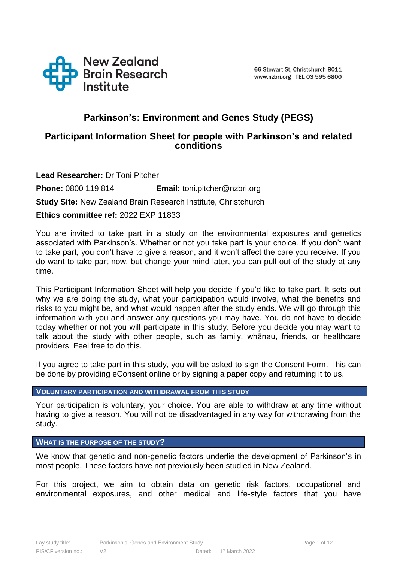

# **Parkinson's: Environment and Genes Study (PEGS)**

## **Participant Information Sheet for people with Parkinson's and related conditions**

**Lead Researcher:** Dr Toni Pitcher **Phone:** 0800 119 814 **Email:** toni.pitcher@nzbri.org **Study Site:** New Zealand Brain Research Institute, Christchurch **Ethics committee ref:** 2022 EXP 11833

You are invited to take part in a study on the environmental exposures and genetics associated with Parkinson's. Whether or not you take part is your choice. If you don't want to take part, you don't have to give a reason, and it won't affect the care you receive. If you do want to take part now, but change your mind later, you can pull out of the study at any time.

This Participant Information Sheet will help you decide if you'd like to take part. It sets out why we are doing the study, what your participation would involve, what the benefits and risks to you might be, and what would happen after the study ends. We will go through this information with you and answer any questions you may have. You do not have to decide today whether or not you will participate in this study. Before you decide you may want to talk about the study with other people, such as family, whānau, friends, or healthcare providers. Feel free to do this.

If you agree to take part in this study, you will be asked to sign the Consent Form. This can be done by providing eConsent online or by signing a paper copy and returning it to us.

## **VOLUNTARY PARTICIPATION AND WITHDRAWAL FROM THIS STUDY**

Your participation is voluntary, your choice. You are able to withdraw at any time without having to give a reason. You will not be disadvantaged in any way for withdrawing from the study.

#### **WHAT IS THE PURPOSE OF THE STUDY?**

We know that genetic and non-genetic factors underlie the development of Parkinson's in most people. These factors have not previously been studied in New Zealand.

For this project, we aim to obtain data on genetic risk factors, occupational and environmental exposures, and other medical and life-style factors that you have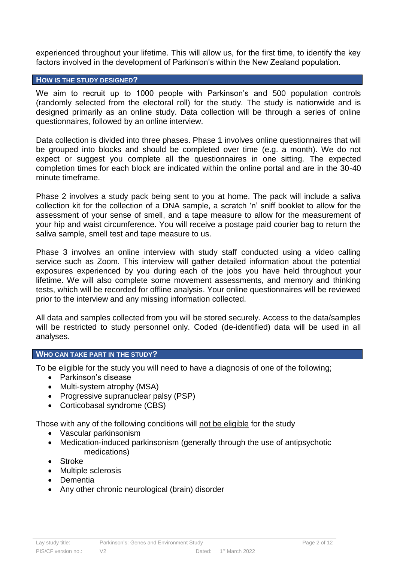experienced throughout your lifetime. This will allow us, for the first time, to identify the key factors involved in the development of Parkinson's within the New Zealand population.

#### **HOW IS THE STUDY DESIGNED?**

We aim to recruit up to 1000 people with Parkinson's and 500 population controls (randomly selected from the electoral roll) for the study. The study is nationwide and is designed primarily as an online study. Data collection will be through a series of online questionnaires, followed by an online interview.

Data collection is divided into three phases. Phase 1 involves online questionnaires that will be grouped into blocks and should be completed over time (e.g. a month). We do not expect or suggest you complete all the questionnaires in one sitting. The expected completion times for each block are indicated within the online portal and are in the 30-40 minute timeframe.

Phase 2 involves a study pack being sent to you at home. The pack will include a saliva collection kit for the collection of a DNA sample, a scratch 'n' sniff booklet to allow for the assessment of your sense of smell, and a tape measure to allow for the measurement of your hip and waist circumference. You will receive a postage paid courier bag to return the saliva sample, smell test and tape measure to us.

Phase 3 involves an online interview with study staff conducted using a video calling service such as Zoom. This interview will gather detailed information about the potential exposures experienced by you during each of the jobs you have held throughout your lifetime. We will also complete some movement assessments, and memory and thinking tests, which will be recorded for offline analysis. Your online questionnaires will be reviewed prior to the interview and any missing information collected.

All data and samples collected from you will be stored securely. Access to the data/samples will be restricted to study personnel only. Coded (de-identified) data will be used in all analyses.

#### **WHO CAN TAKE PART IN THE STUDY?**

To be eligible for the study you will need to have a diagnosis of one of the following;

- Parkinson's disease
- Multi-system atrophy (MSA)
- Progressive supranuclear palsy (PSP)
- Corticobasal syndrome (CBS)

Those with any of the following conditions will not be eligible for the study

- Vascular parkinsonism
- Medication-induced parkinsonism (generally through the use of antipsychotic medications)
- Stroke
- Multiple sclerosis
- Dementia
- Any other chronic neurological (brain) disorder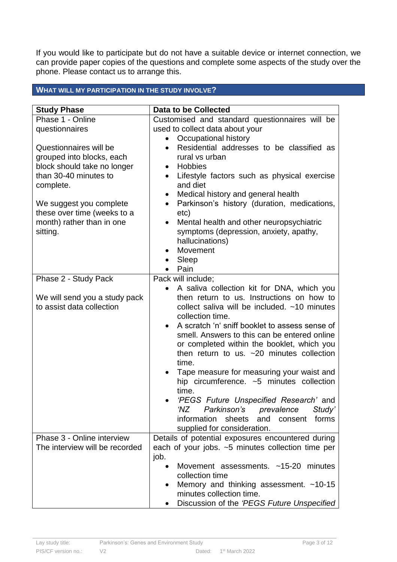If you would like to participate but do not have a suitable device or internet connection, we can provide paper copies of the questions and complete some aspects of the study over the phone. Please contact us to arrange this.

## **WHAT WILL MY PARTICIPATION IN THE STUDY INVOLVE?**

| <b>Study Phase</b>                                                                                                                                                                                                          | <b>Data to be Collected</b>                                                                                                                                                                                                                                                                                                                                                                                                                                                                                                                                                                                                                                                                                                  |  |
|-----------------------------------------------------------------------------------------------------------------------------------------------------------------------------------------------------------------------------|------------------------------------------------------------------------------------------------------------------------------------------------------------------------------------------------------------------------------------------------------------------------------------------------------------------------------------------------------------------------------------------------------------------------------------------------------------------------------------------------------------------------------------------------------------------------------------------------------------------------------------------------------------------------------------------------------------------------------|--|
| Phase 1 - Online<br>questionnaires                                                                                                                                                                                          | Customised and standard questionnaires will be<br>used to collect data about your<br>Occupational history                                                                                                                                                                                                                                                                                                                                                                                                                                                                                                                                                                                                                    |  |
| Questionnaires will be<br>grouped into blocks, each<br>block should take no longer<br>than 30-40 minutes to<br>complete.<br>We suggest you complete<br>these over time (weeks to a<br>month) rather than in one<br>sitting. | Residential addresses to be classified as<br>$\bullet$<br>rural vs urban<br>Hobbies<br>Lifestyle factors such as physical exercise<br>$\bullet$<br>and diet<br>Medical history and general health<br>Parkinson's history (duration, medications,<br>$\bullet$<br>etc)<br>Mental health and other neuropsychiatric<br>symptoms (depression, anxiety, apathy,<br>hallucinations)<br>Movement<br>Sleep<br>Pain                                                                                                                                                                                                                                                                                                                  |  |
| Phase 2 - Study Pack                                                                                                                                                                                                        | Pack will include;                                                                                                                                                                                                                                                                                                                                                                                                                                                                                                                                                                                                                                                                                                           |  |
| We will send you a study pack<br>to assist data collection<br>Phase 3 - Online interview                                                                                                                                    | A saliva collection kit for DNA, which you<br>$\bullet$<br>then return to us. Instructions on how to<br>collect saliva will be included. $~10$ minutes<br>collection time.<br>A scratch 'n' sniff booklet to assess sense of<br>smell. Answers to this can be entered online<br>or completed within the booklet, which you<br>then return to us. $\sim$ 20 minutes collection<br>time.<br>Tape measure for measuring your waist and<br>$\bullet$<br>hip circumference. ~5 minutes collection<br>time.<br>'PEGS Future Unspecified Research' and<br>'NZ Parkinson's prevalence<br>Study'<br>information<br>sheets<br>and consent<br>forms<br>supplied for consideration.<br>Details of potential exposures encountered during |  |
| The interview will be recorded                                                                                                                                                                                              | each of your jobs. ~5 minutes collection time per<br>job.<br>Movement assessments. ~15-20 minutes<br>$\bullet$<br>collection time<br>Memory and thinking assessment. ~10-15<br>$\bullet$<br>minutes collection time.                                                                                                                                                                                                                                                                                                                                                                                                                                                                                                         |  |
|                                                                                                                                                                                                                             | Discussion of the 'PEGS Future Unspecified                                                                                                                                                                                                                                                                                                                                                                                                                                                                                                                                                                                                                                                                                   |  |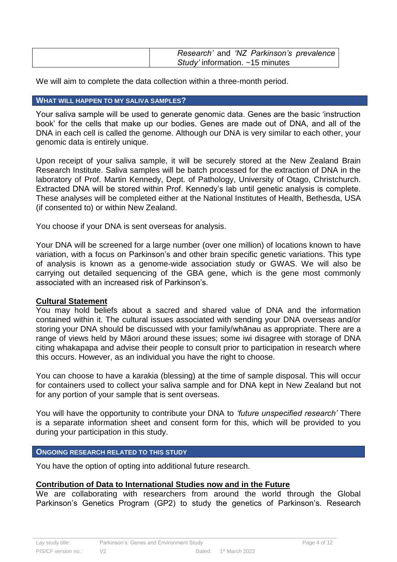| Research' and 'NZ Parkinson's prevalence |
|------------------------------------------|
| Study' information. $~15$ minutes        |

We will aim to complete the data collection within a three-month period.

#### **WHAT WILL HAPPEN TO MY SALIVA SAMPLES?**

Your saliva sample will be used to generate genomic data. Genes are the basic 'instruction book' for the cells that make up our bodies. Genes are made out of DNA, and all of the DNA in each cell is called the genome. Although our DNA is very similar to each other, your genomic data is entirely unique.

Upon receipt of your saliva sample, it will be securely stored at the New Zealand Brain Research Institute. Saliva samples will be batch processed for the extraction of DNA in the laboratory of Prof. Martin Kennedy, Dept. of Pathology, University of Otago, Christchurch. Extracted DNA will be stored within Prof. Kennedy's lab until genetic analysis is complete. These analyses will be completed either at the National Institutes of Health, Bethesda, USA (if consented to) or within New Zealand.

You choose if your DNA is sent overseas for analysis.

Your DNA will be screened for a large number (over one million) of locations known to have variation, with a focus on Parkinson's and other brain specific genetic variations. This type of analysis is known as a genome-wide association study or GWAS. We will also be carrying out detailed sequencing of the GBA gene, which is the gene most commonly associated with an increased risk of Parkinson's.

## **Cultural Statement**

You may hold beliefs about a sacred and shared value of DNA and the information contained within it. The cultural issues associated with sending your DNA overseas and/or storing your DNA should be discussed with your family/whānau as appropriate. There are a range of views held by Māori around these issues; some iwi disagree with storage of DNA citing whakapapa and advise their people to consult prior to participation in research where this occurs. However, as an individual you have the right to choose.

You can choose to have a karakia (blessing) at the time of sample disposal. This will occur for containers used to collect your saliva sample and for DNA kept in New Zealand but not for any portion of your sample that is sent overseas.

You will have the opportunity to contribute your DNA to *'future unspecified research'* There is a separate information sheet and consent form for this, which will be provided to you during your participation in this study.

#### **ONGOING RESEARCH RELATED TO THIS STUDY**

You have the option of opting into additional future research.

## **Contribution of Data to International Studies now and in the Future**

We are collaborating with researchers from around the world through the Global Parkinson's Genetics Program (GP2) to study the genetics of Parkinson's. Research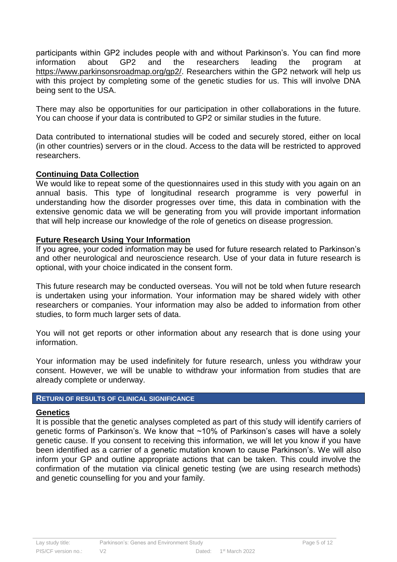participants within GP2 includes people with and without Parkinson's. You can find more information about GP2 and the researchers leading the program at [https://www.parkinsonsroadmap.org/gp2/.](https://www.parkinsonsroadmap.org/gp2/) Researchers within the GP2 network will help us with this project by completing some of the genetic studies for us. This will involve DNA being sent to the USA.

There may also be opportunities for our participation in other collaborations in the future. You can choose if your data is contributed to GP2 or similar studies in the future.

Data contributed to international studies will be coded and securely stored, either on local (in other countries) servers or in the cloud. Access to the data will be restricted to approved researchers.

## **Continuing Data Collection**

We would like to repeat some of the questionnaires used in this study with you again on an annual basis. This type of longitudinal research programme is very powerful in understanding how the disorder progresses over time, this data in combination with the extensive genomic data we will be generating from you will provide important information that will help increase our knowledge of the role of genetics on disease progression.

## **Future Research Using Your Information**

If you agree, your coded information may be used for future research related to Parkinson's and other neurological and neuroscience research. Use of your data in future research is optional, with your choice indicated in the consent form.

This future research may be conducted overseas. You will not be told when future research is undertaken using your information. Your information may be shared widely with other researchers or companies. Your information may also be added to information from other studies, to form much larger sets of data.

You will not get reports or other information about any research that is done using your information.

Your information may be used indefinitely for future research, unless you withdraw your consent. However, we will be unable to withdraw your information from studies that are already complete or underway.

## **RETURN OF RESULTS OF CLINICAL SIGNIFICANCE**

## **Genetics**

It is possible that the genetic analyses completed as part of this study will identify carriers of genetic forms of Parkinson's. We know that ~10% of Parkinson's cases will have a solely genetic cause. If you consent to receiving this information, we will let you know if you have been identified as a carrier of a genetic mutation known to cause Parkinson's. We will also inform your GP and outline appropriate actions that can be taken. This could involve the confirmation of the mutation via clinical genetic testing (we are using research methods) and genetic counselling for you and your family.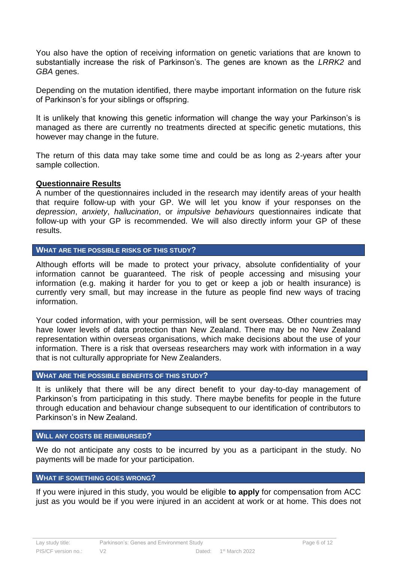You also have the option of receiving information on genetic variations that are known to substantially increase the risk of Parkinson's. The genes are known as the *LRRK2* and *GBA* genes.

Depending on the mutation identified, there maybe important information on the future risk of Parkinson's for your siblings or offspring.

It is unlikely that knowing this genetic information will change the way your Parkinson's is managed as there are currently no treatments directed at specific genetic mutations, this however may change in the future.

The return of this data may take some time and could be as long as 2-years after your sample collection.

## **Questionnaire Results**

A number of the questionnaires included in the research may identify areas of your health that require follow-up with your GP. We will let you know if your responses on the *depression*, *anxiety*, *hallucination*, or *impulsive behaviours* questionnaires indicate that follow-up with your GP is recommended. We will also directly inform your GP of these results.

#### **WHAT ARE THE POSSIBLE RISKS OF THIS STUDY?**

Although efforts will be made to protect your privacy, absolute confidentiality of your information cannot be guaranteed. The risk of people accessing and misusing your information (e.g. making it harder for you to get or keep a job or health insurance) is currently very small, but may increase in the future as people find new ways of tracing information.

Your coded information, with your permission, will be sent overseas. Other countries may have lower levels of data protection than New Zealand. There may be no New Zealand representation within overseas organisations, which make decisions about the use of your information. There is a risk that overseas researchers may work with information in a way that is not culturally appropriate for New Zealanders.

#### **WHAT ARE THE POSSIBLE BENEFITS OF THIS STUDY?**

It is unlikely that there will be any direct benefit to your day-to-day management of Parkinson's from participating in this study. There maybe benefits for people in the future through education and behaviour change subsequent to our identification of contributors to Parkinson's in New Zealand.

## **WILL ANY COSTS BE REIMBURSED?**

We do not anticipate any costs to be incurred by you as a participant in the study. No payments will be made for your participation.

## **WHAT IF SOMETHING GOES WRONG?**

If you were injured in this study, you would be eligible **to apply** for compensation from ACC just as you would be if you were injured in an accident at work or at home. This does not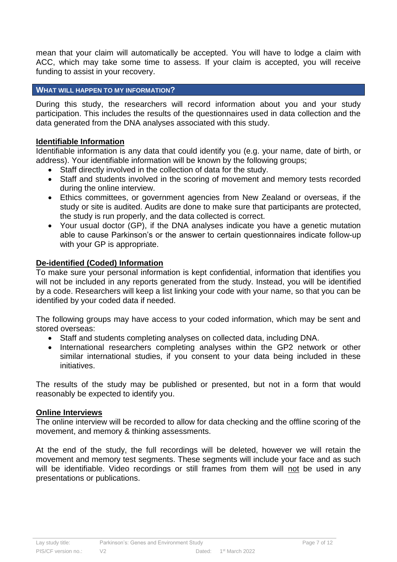mean that your claim will automatically be accepted. You will have to lodge a claim with ACC, which may take some time to assess. If your claim is accepted, you will receive funding to assist in your recovery.

## **WHAT WILL HAPPEN TO MY INFORMATION?**

During this study, the researchers will record information about you and your study participation. This includes the results of the questionnaires used in data collection and the data generated from the DNA analyses associated with this study.

## **Identifiable Information**

Identifiable information is any data that could identify you (e.g. your name, date of birth, or address). Your identifiable information will be known by the following groups;

- Staff directly involved in the collection of data for the study.
- Staff and students involved in the scoring of movement and memory tests recorded during the online interview.
- Ethics committees, or government agencies from New Zealand or overseas, if the study or site is audited. Audits are done to make sure that participants are protected, the study is run properly, and the data collected is correct.
- Your usual doctor (GP), if the DNA analyses indicate you have a genetic mutation able to cause Parkinson's or the answer to certain questionnaires indicate follow-up with your GP is appropriate.

## **De-identified (Coded) Information**

To make sure your personal information is kept confidential, information that identifies you will not be included in any reports generated from the study. Instead, you will be identified by a code. Researchers will keep a list linking your code with your name, so that you can be identified by your coded data if needed.

The following groups may have access to your coded information, which may be sent and stored overseas:

- Staff and students completing analyses on collected data, including DNA.
- International researchers completing analyses within the GP2 network or other similar international studies, if you consent to your data being included in these initiatives.

The results of the study may be published or presented, but not in a form that would reasonably be expected to identify you.

#### **Online Interviews**

The online interview will be recorded to allow for data checking and the offline scoring of the movement, and memory & thinking assessments.

At the end of the study, the full recordings will be deleted, however we will retain the movement and memory test segments. These segments will include your face and as such will be identifiable. Video recordings or still frames from them will not be used in any presentations or publications.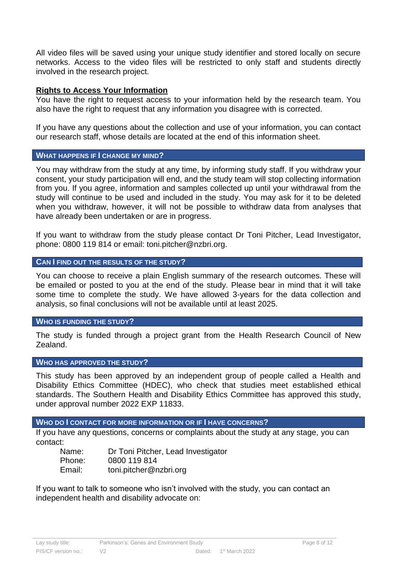All video files will be saved using your unique study identifier and stored locally on secure networks. Access to the video files will be restricted to only staff and students directly involved in the research project.

## **Rights to Access Your Information**

You have the right to request access to your information held by the research team. You also have the right to request that any information you disagree with is corrected.

If you have any questions about the collection and use of your information, you can contact our research staff, whose details are located at the end of this information sheet.

#### **WHAT HAPPENS IF I CHANGE MY MIND?**

You may withdraw from the study at any time, by informing study staff. If you withdraw your consent, your study participation will end, and the study team will stop collecting information from you. If you agree, information and samples collected up until your withdrawal from the study will continue to be used and included in the study. You may ask for it to be deleted when you withdraw, however, it will not be possible to withdraw data from analyses that have already been undertaken or are in progress.

If you want to withdraw from the study please contact Dr Toni Pitcher, Lead Investigator, phone: 0800 119 814 or email: toni.pitcher@nzbri.org.

## **CAN I FIND OUT THE RESULTS OF THE STUDY?**

You can choose to receive a plain English summary of the research outcomes. These will be emailed or posted to you at the end of the study. Please bear in mind that it will take some time to complete the study. We have allowed 3-years for the data collection and analysis, so final conclusions will not be available until at least 2025.

## **WHO IS FUNDING THE STUDY?**

The study is funded through a project grant from the Health Research Council of New Zealand.

## **WHO HAS APPROVED THE STUDY?**

This study has been approved by an independent group of people called a Health and Disability Ethics Committee (HDEC), who check that studies meet established ethical standards. The Southern Health and Disability Ethics Committee has approved this study, under approval number 2022 EXP 11833.

## **WHO DO I CONTACT FOR MORE INFORMATION OR IF I HAVE CONCERNS?**

If you have any questions, concerns or complaints about the study at any stage, you can contact:

| Name:  | Dr Toni Pitcher, Lead Investigator |
|--------|------------------------------------|
| Phone: | 0800 119 814                       |
| Email: | toni.pitcher@nzbri.org             |

If you want to talk to someone who isn't involved with the study, you can contact an independent health and disability advocate on: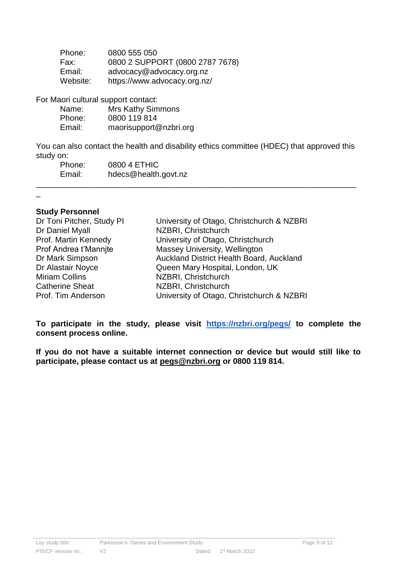| Phone:   | 0800 555 050                    |
|----------|---------------------------------|
| Fax:     | 0800 2 SUPPORT (0800 2787 7678) |
| Email:   | advocacy@advocacy.org.nz        |
| Website: | https://www.advocacy.org.nz/    |

For Maori cultural support contact:

| Name:  | <b>Mrs Kathy Simmons</b> |
|--------|--------------------------|
| Phone: | 0800 119 814             |
| Email: | maorisupport@nzbri.org   |

You can also contact the health and disability ethics committee (HDEC) that approved this study on:

\_\_\_\_\_\_\_\_\_\_\_\_\_\_\_\_\_\_\_\_\_\_\_\_\_\_\_\_\_\_\_\_\_\_\_\_\_\_\_\_\_\_\_\_\_\_\_\_\_\_\_\_\_\_\_\_\_\_\_\_\_\_\_\_\_\_\_\_\_\_\_\_

| Phone: | 0800 4 ETHIC         |
|--------|----------------------|
| Email: | hdecs@health.govt.nz |

## **Study Personnel**

\_

| Dr Toni Pitcher, Study PI | University of Otago, Christchurch & NZBRI |
|---------------------------|-------------------------------------------|
| Dr Daniel Myall           | NZBRI, Christchurch                       |
| Prof. Martin Kennedy      | University of Otago, Christchurch         |
| Prof Andrea t'Mannite     | Massey University, Wellington             |
| Dr Mark Simpson           | Auckland District Health Board, Auckland  |
| Dr Alastair Noyce         | Queen Mary Hospital, London, UK           |
| <b>Miriam Collins</b>     | NZBRI, Christchurch                       |
| <b>Catherine Sheat</b>    | NZBRI, Christchurch                       |
| Prof. Tim Anderson        | University of Otago, Christchurch & NZBRI |

**To participate in the study, please visit <https://nzbri.org/pegs/> to complete the consent process online.** 

**If you do not have a suitable internet connection or device but would still like to participate, please contact us at [pegs@nzbri.org](mailto:pegs@nzbri.org) or 0800 119 814.**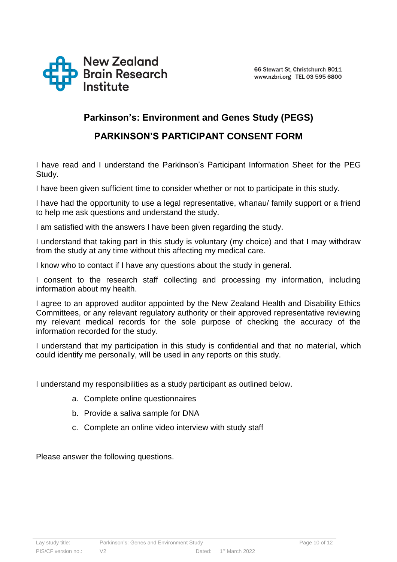

# **Parkinson's: Environment and Genes Study (PEGS)**

# **PARKINSON'S PARTICIPANT CONSENT FORM**

I have read and I understand the Parkinson's Participant Information Sheet for the PEG Study.

I have been given sufficient time to consider whether or not to participate in this study.

I have had the opportunity to use a legal representative, whanau/ family support or a friend to help me ask questions and understand the study.

I am satisfied with the answers I have been given regarding the study.

I understand that taking part in this study is voluntary (my choice) and that I may withdraw from the study at any time without this affecting my medical care.

I know who to contact if I have any questions about the study in general.

I consent to the research staff collecting and processing my information, including information about my health.

I agree to an approved auditor appointed by the New Zealand Health and Disability Ethics Committees, or any relevant regulatory authority or their approved representative reviewing my relevant medical records for the sole purpose of checking the accuracy of the information recorded for the study.

I understand that my participation in this study is confidential and that no material, which could identify me personally, will be used in any reports on this study.

I understand my responsibilities as a study participant as outlined below.

- a. Complete online questionnaires
- b. Provide a saliva sample for DNA
- c. Complete an online video interview with study staff

Please answer the following questions.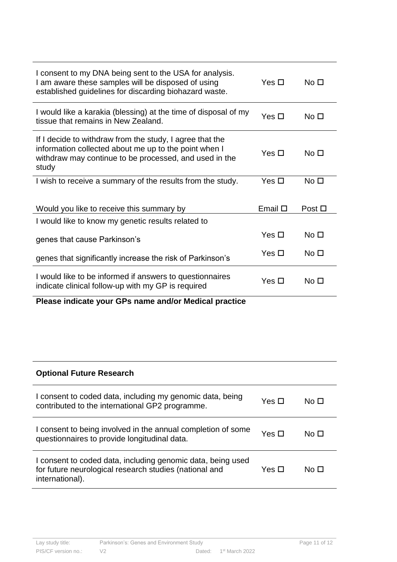| I consent to my DNA being sent to the USA for analysis.<br>I am aware these samples will be disposed of using<br>established guidelines for discarding biohazard waste.              | Yes $\Box$      | No <sub>1</sub> |
|--------------------------------------------------------------------------------------------------------------------------------------------------------------------------------------|-----------------|-----------------|
| I would like a karakia (blessing) at the time of disposal of my<br>tissue that remains in New Zealand.                                                                               | Yes $\Box$      | No <sub>1</sub> |
| If I decide to withdraw from the study, I agree that the<br>information collected about me up to the point when I<br>withdraw may continue to be processed, and used in the<br>study | Yes $\Box$      | No <sub>1</sub> |
| I wish to receive a summary of the results from the study.                                                                                                                           | Yes $\square$   | No <sub>1</sub> |
| Would you like to receive this summary by                                                                                                                                            | Email $\square$ | Post $\Box$     |
| I would like to know my genetic results related to                                                                                                                                   |                 |                 |
| genes that cause Parkinson's                                                                                                                                                         | Yes $\Box$      | No <sub>1</sub> |
| genes that significantly increase the risk of Parkinson's                                                                                                                            | Yes $\square$   | No <sub>1</sub> |
| I would like to be informed if answers to questionnaires<br>indicate clinical follow-up with my GP is required                                                                       | Yes $\square$   | No <sub>1</sub> |
| Please indicate your GPs name and/or Medical practice                                                                                                                                |                 |                 |
|                                                                                                                                                                                      |                 |                 |
|                                                                                                                                                                                      |                 |                 |
| <b>Optional Future Research</b>                                                                                                                                                      |                 |                 |
| I consent to coded data, including my genomic data, being<br>contributed to the international GP2 programme.                                                                         | Yes $\square$   | No <sub>1</sub> |
| I consent to being involved in the annual completion of some<br>questionnaires to provide longitudinal data.                                                                         | Yes $\Box$      | No <sub>1</sub> |

| I consent to coded data, including genomic data, being used<br>for future neurological research studies (national and<br>international). | Yes □ | No □ |
|------------------------------------------------------------------------------------------------------------------------------------------|-------|------|